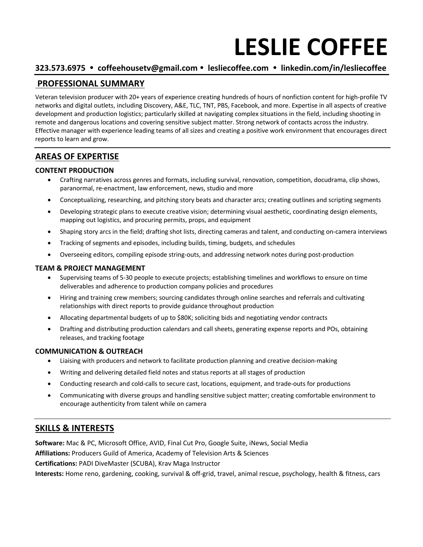# **LESLIE COFFEE**

### **323.573.6975 coffeehousetv@gmail.com lesliecoffee.com linkedin.com/in/lesliecoffee**

## **PROFESSIONAL SUMMARY**

Veteran television producer with 20+ years of experience creating hundreds of hours of nonfiction content for high-profile TV networks and digital outlets, including Discovery, A&E, TLC, TNT, PBS, Facebook, and more. Expertise in all aspects of creative development and production logistics; particularly skilled at navigating complex situations in the field, including shooting in remote and dangerous locations and covering sensitive subject matter. Strong network of contacts across the industry. Effective manager with experience leading teams of all sizes and creating a positive work environment that encourages direct reports to learn and grow.

# **AREAS OF EXPERTISE**

#### **CONTENT PRODUCTION**

- Crafting narratives across genres and formats, including survival, renovation, competition, docudrama, clip shows, paranormal, re-enactment, law enforcement, news, studio and more
- Conceptualizing, researching, and pitching story beats and character arcs; creating outlines and scripting segments
- Developing strategic plans to execute creative vision; determining visual aesthetic, coordinating design elements, mapping out logistics, and procuring permits, props, and equipment
- Shaping story arcs in the field; drafting shot lists, directing cameras and talent, and conducting on-camera interviews
- Tracking of segments and episodes, including builds, timing, budgets, and schedules
- Overseeing editors, compiling episode string-outs, and addressing network notes during post-production

#### **TEAM & PROJECT MANAGEMENT**

- Supervising teams of 5-30 people to execute projects; establishing timelines and workflows to ensure on time deliverables and adherence to production company policies and procedures
- Hiring and training crew members; sourcing candidates through online searches and referrals and cultivating relationships with direct reports to provide guidance throughout production
- Allocating departmental budgets of up to \$80K; soliciting bids and negotiating vendor contracts
- Drafting and distributing production calendars and call sheets, generating expense reports and POs, obtaining releases, and tracking footage

#### **COMMUNICATION & OUTREACH**

- Liaising with producers and network to facilitate production planning and creative decision-making
- Writing and delivering detailed field notes and status reports at all stages of production
- Conducting research and cold-calls to secure cast, locations, equipment, and trade-outs for productions
- Communicating with diverse groups and handling sensitive subject matter; creating comfortable environment to encourage authenticity from talent while on camera

### **SKILLS & INTERESTS**

**Software:** Mac & PC, Microsoft Office, AVID, Final Cut Pro, Google Suite, iNews, Social Media **Affiliations:** Producers Guild of America, Academy of Television Arts & Sciences

**Certifications:** PADI DiveMaster (SCUBA), Krav Maga Instructor

**Interests:** Home reno, gardening, cooking, survival & off-grid, travel, animal rescue, psychology, health & fitness, cars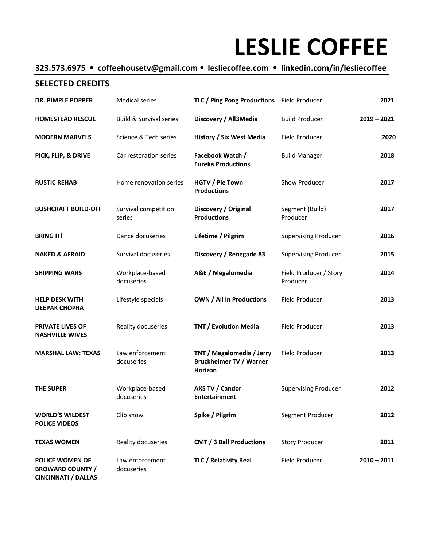# **LESLIE COFFEE**

# **323.573.6975 coffeehousetv@gmail.com lesliecoffee.com linkedin.com/in/lesliecoffee**

### **SELECTED CREDITS**

| <b>DR. PIMPLE POPPER</b>                                                        | <b>Medical series</b>              | TLC / Ping Pong Productions Field Producer                             |                                    | 2021          |
|---------------------------------------------------------------------------------|------------------------------------|------------------------------------------------------------------------|------------------------------------|---------------|
| <b>HOMESTEAD RESCUE</b>                                                         | <b>Build &amp; Survival series</b> | Discovery / All3Media                                                  | <b>Build Producer</b>              | $2019 - 2021$ |
| <b>MODERN MARVELS</b>                                                           | Science & Tech series              | <b>History / Six West Media</b>                                        | <b>Field Producer</b>              | 2020          |
| PICK, FLIP, & DRIVE                                                             | Car restoration series             | Facebook Watch /<br><b>Eureka Productions</b>                          | <b>Build Manager</b>               | 2018          |
| <b>RUSTIC REHAB</b>                                                             | Home renovation series             | HGTV / Pie Town<br><b>Productions</b>                                  | Show Producer                      | 2017          |
| <b>BUSHCRAFT BUILD-OFF</b>                                                      | Survival competition<br>series     | Discovery / Original<br><b>Productions</b>                             | Segment (Build)<br>Producer        | 2017          |
| <b>BRING IT!</b>                                                                | Dance docuseries                   | Lifetime / Pilgrim                                                     | <b>Supervising Producer</b>        | 2016          |
| <b>NAKED &amp; AFRAID</b>                                                       | Survival docuseries                | Discovery / Renegade 83                                                | <b>Supervising Producer</b>        | 2015          |
| <b>SHIPPING WARS</b>                                                            | Workplace-based<br>docuseries      | A&E / Megalomedia                                                      | Field Producer / Story<br>Producer | 2014          |
| <b>HELP DESK WITH</b><br><b>DEEPAK CHOPRA</b>                                   | Lifestyle specials                 | <b>OWN / All In Productions</b>                                        | <b>Field Producer</b>              | 2013          |
| <b>PRIVATE LIVES OF</b><br><b>NASHVILLE WIVES</b>                               | Reality docuseries                 | <b>TNT / Evolution Media</b>                                           | Field Producer                     | 2013          |
| <b>MARSHAL LAW: TEXAS</b>                                                       | Law enforcement<br>docuseries      | TNT / Megalomedia / Jerry<br><b>Bruckheimer TV / Warner</b><br>Horizon | Field Producer                     | 2013          |
| <b>THE SUPER</b>                                                                | Workplace-based<br>docuseries      | AXS TV / Candor<br><b>Entertainment</b>                                | <b>Supervising Producer</b>        | 2012          |
| <b>WORLD'S WILDEST</b><br><b>POLICE VIDEOS</b>                                  | Clip show                          | Spike / Pilgrim                                                        | Segment Producer                   | 2012          |
| <b>TEXAS WOMEN</b>                                                              | Reality docuseries                 | <b>CMT / 3 Ball Productions</b>                                        | <b>Story Producer</b>              | 2011          |
| <b>POLICE WOMEN OF</b><br><b>BROWARD COUNTY /</b><br><b>CINCINNATI / DALLAS</b> | Law enforcement<br>docuseries      | TLC / Relativity Real                                                  | <b>Field Producer</b>              | $2010 - 2011$ |